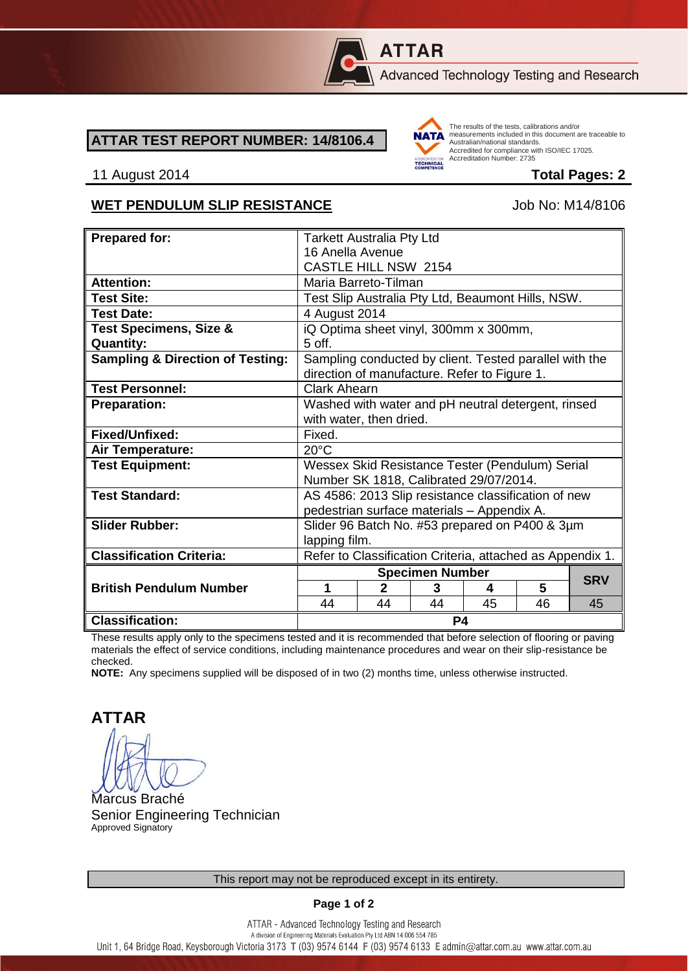

# **ATTAR**

Advanced Technology Testing and Research

#### **ATTAR TEST REPORT NUMBER: 14/8106.4**



The results of the tests, calibrations and/or measurements included in this document are traceable to Australian/national standards. Adstrational Midtonian Standards:<br>Accredited for compliance with ISO/IEC 17025. Accreditation Number: 2735

#### 11 August 2014 **Total Pages: 2**

#### WET PENDULUM SLIP RESISTANCE Job No: M14/8106

| <b>Prepared for:</b>                        | <b>Tarkett Australia Pty Ltd</b>                                                                       |              |    |    |    |            |
|---------------------------------------------|--------------------------------------------------------------------------------------------------------|--------------|----|----|----|------------|
|                                             | 16 Anella Avenue                                                                                       |              |    |    |    |            |
|                                             | <b>CASTLE HILL NSW 2154</b>                                                                            |              |    |    |    |            |
| <b>Attention:</b>                           | Maria Barreto-Tilman                                                                                   |              |    |    |    |            |
| <b>Test Site:</b>                           | Test Slip Australia Pty Ltd, Beaumont Hills, NSW.                                                      |              |    |    |    |            |
| <b>Test Date:</b>                           | 4 August 2014                                                                                          |              |    |    |    |            |
| <b>Test Specimens, Size &amp;</b>           | iQ Optima sheet vinyl, 300mm x 300mm,                                                                  |              |    |    |    |            |
| <b>Quantity:</b>                            | $5$ off.                                                                                               |              |    |    |    |            |
| <b>Sampling &amp; Direction of Testing:</b> | Sampling conducted by client. Tested parallel with the<br>direction of manufacture. Refer to Figure 1. |              |    |    |    |            |
| <b>Test Personnel:</b>                      | <b>Clark Ahearn</b>                                                                                    |              |    |    |    |            |
| <b>Preparation:</b>                         | Washed with water and pH neutral detergent, rinsed                                                     |              |    |    |    |            |
|                                             | with water, then dried.                                                                                |              |    |    |    |            |
| Fixed/Unfixed:                              | Fixed.                                                                                                 |              |    |    |    |            |
| Air Temperature:                            | $20^{\circ}$ C                                                                                         |              |    |    |    |            |
| <b>Test Equipment:</b>                      | Wessex Skid Resistance Tester (Pendulum) Serial                                                        |              |    |    |    |            |
|                                             | Number SK 1818, Calibrated 29/07/2014.                                                                 |              |    |    |    |            |
| <b>Test Standard:</b>                       | AS 4586: 2013 Slip resistance classification of new                                                    |              |    |    |    |            |
|                                             | pedestrian surface materials - Appendix A.                                                             |              |    |    |    |            |
| <b>Slider Rubber:</b>                       | Slider 96 Batch No. #53 prepared on P400 & 3µm                                                         |              |    |    |    |            |
|                                             | lapping film.                                                                                          |              |    |    |    |            |
| <b>Classification Criteria:</b>             | Refer to Classification Criteria, attached as Appendix 1.                                              |              |    |    |    |            |
|                                             | <b>Specimen Number</b>                                                                                 |              |    |    |    | <b>SRV</b> |
| <b>British Pendulum Number</b>              | 1                                                                                                      | $\mathbf{2}$ | 3  | 4  | 5  |            |
|                                             | 44                                                                                                     | 44           | 44 | 45 | 46 | 45         |
| <b>Classification:</b>                      | P4                                                                                                     |              |    |    |    |            |

These results apply only to the specimens tested and it is recommended that before selection of flooring or paving materials the effect of service conditions, including maintenance procedures and wear on their slip-resistance be checked.

**NOTE:** Any specimens supplied will be disposed of in two (2) months time, unless otherwise instructed.

**ATTAR**

Marcus Braché Senior Engineering Technician Approved Signatory

**Page 1 of 2**